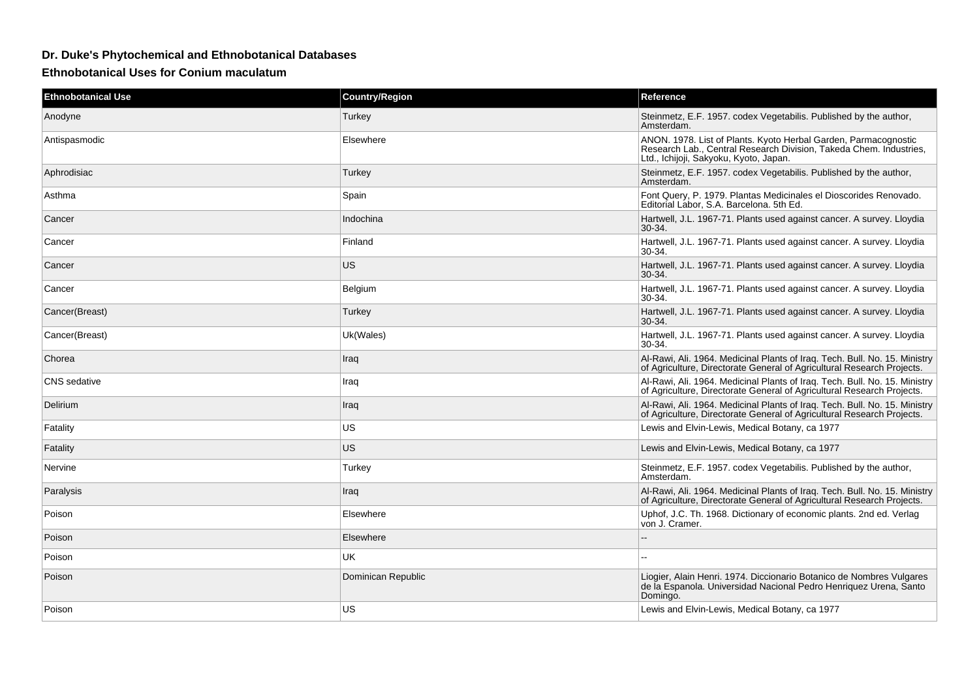## **Dr. Duke's Phytochemical and Ethnobotanical Databases**

**Ethnobotanical Uses for Conium maculatum**

| <b>Ethnobotanical Use</b> | <b>Country/Region</b> | Reference                                                                                                                                                                       |
|---------------------------|-----------------------|---------------------------------------------------------------------------------------------------------------------------------------------------------------------------------|
| Anodyne                   | Turkey                | Steinmetz, E.F. 1957. codex Vegetabilis. Published by the author,<br>Amsterdam.                                                                                                 |
| Antispasmodic             | Elsewhere             | ANON. 1978. List of Plants. Kyoto Herbal Garden, Parmacognostic<br>Research Lab., Central Research Division, Takeda Chem. Industries,<br>Ltd., Ichijoji, Sakyoku, Kyoto, Japan. |
| Aphrodisiac               | Turkey                | Steinmetz, E.F. 1957. codex Vegetabilis. Published by the author,<br>Amsterdam.                                                                                                 |
| Asthma                    | Spain                 | Font Query, P. 1979. Plantas Medicinales el Dioscorides Renovado.<br>Editorial Labor, S.A. Barcelona. 5th Ed.                                                                   |
| Cancer                    | Indochina             | Hartwell, J.L. 1967-71. Plants used against cancer. A survey. Lloydia<br>$30-34.$                                                                                               |
| Cancer                    | Finland               | Hartwell, J.L. 1967-71. Plants used against cancer. A survey. Lloydia<br>$30-34.$                                                                                               |
| Cancer                    | US.                   | Hartwell, J.L. 1967-71. Plants used against cancer. A survey. Lloydia<br>$30-34.$                                                                                               |
| Cancer                    | Belgium               | Hartwell, J.L. 1967-71. Plants used against cancer. A survey. Lloydia<br>30-34.                                                                                                 |
| Cancer(Breast)            | Turkey                | Hartwell, J.L. 1967-71. Plants used against cancer. A survey. Lloydia<br>30-34.                                                                                                 |
| Cancer(Breast)            | Uk(Wales)             | Hartwell, J.L. 1967-71. Plants used against cancer. A survey. Lloydia<br>30-34.                                                                                                 |
| Chorea                    | Iraq                  | Al-Rawi, Ali. 1964. Medicinal Plants of Iraq. Tech. Bull. No. 15. Ministry<br>of Agriculture, Directorate General of Agricultural Research Projects.                            |
| <b>CNS</b> sedative       | Iraq                  | Al-Rawi, Ali. 1964. Medicinal Plants of Iraq. Tech. Bull. No. 15. Ministry<br>of Agriculture, Directorate General of Agricultural Research Projects.                            |
| Delirium                  | Iraq                  | Al-Rawi, Ali. 1964. Medicinal Plants of Iraq. Tech. Bull. No. 15. Ministry<br>of Agriculture, Directorate General of Agricultural Research Projects.                            |
| Fatality                  | US.                   | Lewis and Elvin-Lewis, Medical Botany, ca 1977                                                                                                                                  |
| Fatality                  | US.                   | Lewis and Elvin-Lewis, Medical Botany, ca 1977                                                                                                                                  |
| Nervine                   | Turkey                | Steinmetz, E.F. 1957. codex Vegetabilis. Published by the author,<br>Amsterdam.                                                                                                 |
| Paralysis                 | Iraq                  | Al-Rawi, Ali. 1964. Medicinal Plants of Iraq. Tech. Bull. No. 15. Ministry<br>of Agriculture, Directorate General of Agricultural Research Projects.                            |
| Poison                    | Elsewhere             | Uphof, J.C. Th. 1968. Dictionary of economic plants. 2nd ed. Verlag<br>von J. Cramer.                                                                                           |
| Poison                    | Elsewhere             |                                                                                                                                                                                 |
| Poison                    | UK                    | $=$                                                                                                                                                                             |
| Poison                    | Dominican Republic    | Liogier, Alain Henri. 1974. Diccionario Botanico de Nombres Vulgares<br>de la Espanola. Universidad Nacional Pedro Henriquez Urena, Santo<br>Domingo.                           |
| Poison                    | US                    | Lewis and Elvin-Lewis, Medical Botany, ca 1977                                                                                                                                  |